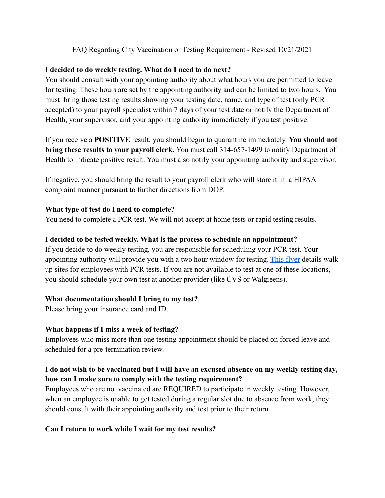### FAQ Regarding City Vaccination or Testing Requirement - Revised 10/21/2021

### **I decided to do weekly testing. What do I need to do next?**

You should consult with your appointing authority about what hours you are permitted to leave for testing. These hours are set by the appointing authority and can be limited to two hours. You must bring those testing results showing your testing date, name, and type of test (only PCR accepted) to your payroll specialist within 7 days of your test date or notify the Department of Health, your supervisor, and your appointing authority immediately if you test positive.

If you receive a **POSITIVE** result, you should begin to quarantine immediately. **You should not bring these results to your payroll clerk.** You must call 314-657-1499 to notify Department of Health to indicate positive result. You must also notify your appointing authority and supervisor.

If negative, you should bring the result to your payroll clerk who will store it in a HIPAA complaint manner pursuant to further directions from DOP.

### **What type of test do I need to complete?**

You need to complete a PCR test. We will not accept at home tests or rapid testing results.

### **I decided to be tested weekly. What is the process to schedule an appointment?**

If you decide to do weekly testing, you are responsible for scheduling your PCR test. Your appointing authority will provide you with a two hour window for testing. [This flyer](https://www.stlouis-mo.gov/government/departments/personnel/documents/ordinances-regulations/upload/Employee-COVID-19-Vaccine-Flyer-Oct-25-1.pdf) details walk up sites for employees with PCR tests. If you are not available to test at one of these locations, you should schedule your own test at another provider (like CVS or Walgreens).

## **What documentation should I bring to my test?**

Please bring your insurance card and ID.

## **What happens if I miss a week of testing?**

Employees who miss more than one testing appointment should be placed on forced leave and scheduled for a pre-termination review.

# **I do not wish to be vaccinated but I will have an excused absence on my weekly testing day, how can I make sure to comply with the testing requirement?**

Employees who are not vaccinated are REQUIRED to participate in weekly testing. However, when an employee is unable to get tested during a regular slot due to absence from work, they should consult with their appointing authority and test prior to their return.

## **Can I return to work while I wait for my test results?**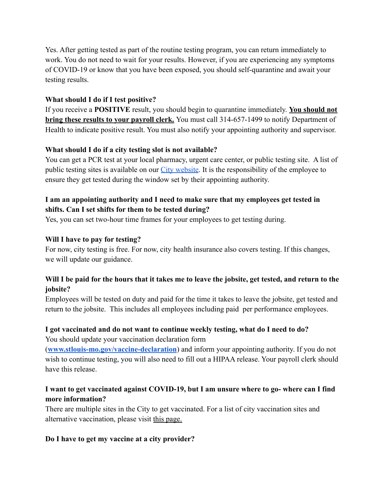Yes. After getting tested as part of the routine testing program, you can return immediately to work. You do not need to wait for your results. However, if you are experiencing any symptoms of COVID-19 or know that you have been exposed, you should self-quarantine and await your testing results.

### **What should I do if I test positive?**

If you receive a **POSITIVE** result, you should begin to quarantine immediately. **You should not bring these results to your payroll clerk.** You must call 314-657-1499 to notify Department of Health to indicate positive result. You must also notify your appointing authority and supervisor.

## **What should I do if a city testing slot is not available?**

You can get a PCR test at your local pharmacy, urgent care center, or public testing site. A list of public testing sites is available on our [City website.](https://www.stlouis-mo.gov/government/departments/health/communicable-disease/covid-19/data/test-locations.cfm) It is the responsibility of the employee to ensure they get tested during the window set by their appointing authority.

# **I am an appointing authority and I need to make sure that my employees get tested in shifts. Can I set shifts for them to be tested during?**

Yes, you can set two-hour time frames for your employees to get testing during.

### **Will I have to pay for testing?**

For now, city testing is free. For now, city health insurance also covers testing. If this changes, we will update our guidance.

## **Will I be paid for the hours that it takes me to leave the jobsite, get tested, and return to the jobsite?**

Employees will be tested on duty and paid for the time it takes to leave the jobsite, get tested and return to the jobsite. This includes all employees including paid per performance employees.

# **I got vaccinated and do not want to continue weekly testing, what do I need to do?**

You should update your vaccination declaration form

(**[www.stlouis-mo.gov/vaccine-declaration](http://www.stlouis-mo.gov/vaccine-declaration)**) and inform your appointing authority. If you do not wish to continue testing, you will also need to fill out a HIPAA release. Your payroll clerk should have this release.

# **I want to get vaccinated against COVID-19, but I am unsure where to go- where can I find more information?**

There are multiple sites in the City to get vaccinated. For a list of city vaccination sites and alternative vaccination, please visit [this page.](https://www.stlouis-mo.gov/government/departments/health/communicable-disease/covid-19/vaccine/index.cfm#CP_JUMP_862128)

### **Do I have to get my vaccine at a city provider?**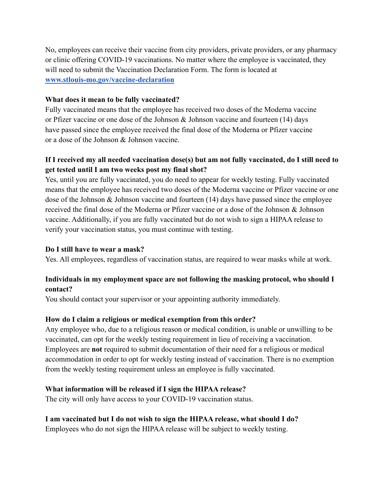No, employees can receive their vaccine from city providers, private providers, or any pharmacy or clinic offering COVID-19 vaccinations. No matter where the employee is vaccinated, they will need to submit the Vaccination Declaration Form. The form is located at **[www.stlouis-mo.gov/vaccine-declaration](http://www.stlouis-mo.gov/vaccine-declaration)**

#### **What does it mean to be fully vaccinated?**

Fully vaccinated means that the employee has received two doses of the Moderna vaccine or Pfizer vaccine or one dose of the Johnson & Johnson vaccine and fourteen (14) days have passed since the employee received the final dose of the Moderna or Pfizer vaccine or a dose of the Johnson & Johnson vaccine.

## **If I received my all needed vaccination dose(s) but am not fully vaccinated, do I still need to get tested until I am two weeks post my final shot?**

Yes, until you are fully vaccinated, you do need to appear for weekly testing. Fully vaccinated means that the employee has received two doses of the Moderna vaccine or Pfizer vaccine or one dose of the Johnson & Johnson vaccine and fourteen (14) days have passed since the employee received the final dose of the Moderna or Pfizer vaccine or a dose of the Johnson & Johnson vaccine. Additionally, if you are fully vaccinated but do not wish to sign a HIPAA release to verify your vaccination status, you must continue with testing.

### **Do I still have to wear a mask?**

Yes. All employees, regardless of vaccination status, are required to wear masks while at work.

### **Individuals in my employment space are not following the masking protocol, who should I contact?**

You should contact your supervisor or your appointing authority immediately.

### **How do I claim a religious or medical exemption from this order?**

Any employee who, due to a religious reason or medical condition, is unable or unwilling to be vaccinated, can opt for the weekly testing requirement in lieu of receiving a vaccination. Employees are **not** required to submit documentation of their need for a religious or medical accommodation in order to opt for weekly testing instead of vaccination. There is no exemption from the weekly testing requirement unless an employee is fully vaccinated.

### **What information will be released if I sign the HIPAA release?**

The city will only have access to your COVID-19 vaccination status.

### **I am vaccinated but I do not wish to sign the HIPAA release, what should I do?**

Employees who do not sign the HIPAA release will be subject to weekly testing.